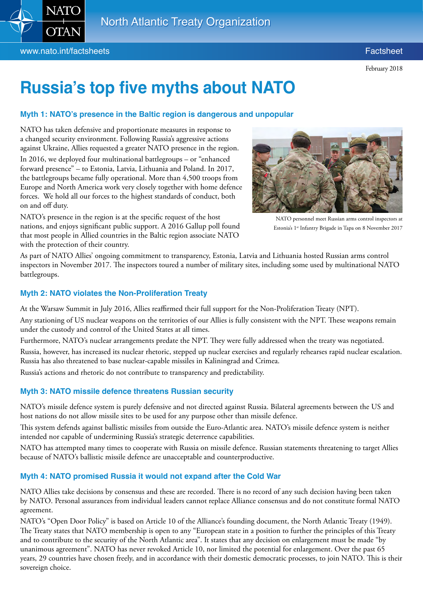

February 2018

# **Russia's top five myths about NATO**

## **Myth 1: NATO's presence in the Baltic region is dangerous and unpopular**

NATO has taken defensive and proportionate measures in response to a changed security environment. Following Russia's aggressive actions against Ukraine, Allies requested a greater NATO presence in the region.

In 2016, we deployed four multinational battlegroups – or "enhanced forward presence" – to Estonia, Latvia, Lithuania and Poland. In 2017, the battlegroups became fully operational. More than 4,500 troops from Europe and North America work very closely together with home defence forces. We hold all our forces to the highest standards of conduct, both on and off duty.

NATO's presence in the region is at the specific request of the host nations, and enjoys significant public support. A [2016 Gallup poll](http://news.gallup.com/poll/203819/nato-members-eastern-europe-protection.aspx) found that most people in Allied countries in the Baltic region associate NATO with the protection of their country.



NATO personnel meet Russian arms control inspectors at Estonia's 1<sup>st</sup> Infantry Brigade in Tapa on 8 November 2017

As part of NATO Allies' ongoing commitment to transparency, Estonia, Latvia and Lithuania hosted Russian arms control inspectors in November 2017. The inspectors toured a number of military sites, including some used by multinational NATO battlegroups.

## **Myth 2: NATO violates the Non-Proliferation Treaty**

At the Warsaw Summit in July 2016, Allies reaffirmed their full support for the Non-Proliferation Treaty (NPT).

Any stationing of US nuclear weapons on the territories of our Allies is fully consistent with the NPT. These weapons remain under the custody and control of the United States at all times.

Furthermore, NATO's nuclear arrangements predate the NPT. They were fully addressed when the treaty was negotiated.

Russia, however, has increased its nuclear rhetoric, stepped up nuclear exercises and regularly rehearses rapid nuclear escalation. Russia has also threatened to base nuclear-capable missiles in Kaliningrad and Crimea.

Russia's actions and rhetoric do not contribute to transparency and predictability.

# **Myth 3: NATO missile defence threatens Russian security**

NATO's missile defence system is purely defensive and not directed against Russia. Bilateral agreements between the US and host nations do not allow missile sites to be used for any purpose other than missile defence.

This system defends against ballistic missiles from outside the Euro-Atlantic area. NATO's missile defence system is neither intended nor capable of undermining Russia's strategic deterrence capabilities.

NATO has attempted many times to cooperate with Russia on missile defence. Russian statements threatening to target Allies because of NATO's ballistic missile defence are unacceptable and counterproductive.

# **Myth 4: NATO promised Russia it would not expand after the Cold War**

NATO Allies take decisions by consensus and these are recorded. There is no record of any such decision having been taken by NATO. Personal assurances from individual leaders cannot replace Alliance consensus and do not constitute formal NATO agreement.

NATO's "Open Door Policy" is based on Article 10 of the Alliance's founding document, the North Atlantic Treaty (1949). The Treaty states that NATO membership is open to any "European state in a position to further the principles of this Treaty and to contribute to the security of the North Atlantic area". It states that any decision on enlargement must be made "by unanimous agreement". NATO has never revoked Article 10, nor limited the potential for enlargement. Over the past 65 years, 29 countries have chosen freely, and in accordance with their domestic democratic processes, to join NATO. This is their sovereign choice.